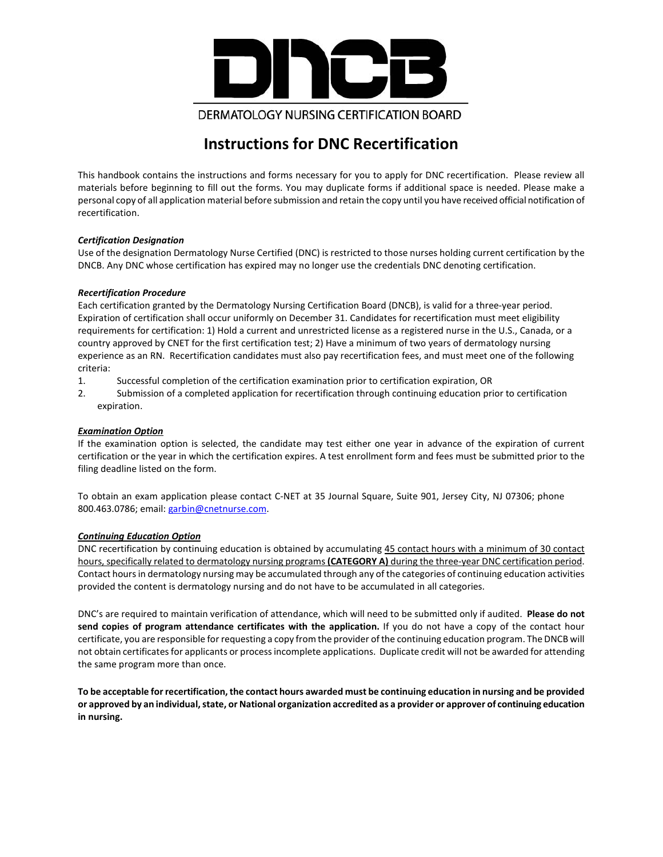

# **Instructions for DNC Recertification**

This handbook contains the instructions and forms necessary for you to apply for DNC recertification. Please review all materials before beginning to fill out the forms. You may duplicate forms if additional space is needed. Please make a personal copy of all application material before submission and retain the copy until you have received official notification of recertification.

#### *Certification Designation*

Use of the designation Dermatology Nurse Certified (DNC) is restricted to those nurses holding current certification by the DNCB. Any DNC whose certification has expired may no longer use the credentials DNC denoting certification.

#### *Recertification Procedure*

Each certification granted by the Dermatology Nursing Certification Board (DNCB), is valid for a three-year period. Expiration of certification shall occur uniformly on December 31. Candidates for recertification must meet eligibility requirements for certification: 1) Hold a current and unrestricted license as a registered nurse in the U.S., Canada, or a country approved by CNET for the first certification test; 2) Have a minimum of two years of dermatology nursing experience as an RN. Recertification candidates must also pay recertification fees, and must meet one of the following criteria:

- 1. Successful completion of the certification examination prior to certification expiration, OR
- 2. Submission of a completed application for recertification through continuing education prior to certification expiration.

#### *Examination Option*

If the examination option is selected, the candidate may test either one year in advance of the expiration of current certification or the year in which the certification expires. A test enrollment form and fees must be submitted prior to the filing deadline listed on the form.

To obtain an exam application please contact C-NET at 35 Journal Square, Suite 901, Jersey City, NJ 07306; phone 800.463.0786; email[: garbin@cnetnurse.com.](mailto:garbin@cnetnurse.com)

#### *Continuing Education Option*

DNC recertification by continuing education is obtained by accumulating 45 contact hours with a minimum of 30 contact hours, specifically related to dermatology nursing programs **(CATEGORY A)** during the three-year DNC certification period. Contact hours in dermatology nursing may be accumulated through any of the categories of continuing education activities provided the content is dermatology nursing and do not have to be accumulated in all categories.

DNC's are required to maintain verification of attendance, which will need to be submitted only if audited. **Please do not send copies of program attendance certificates with the application.** If you do not have a copy of the contact hour certificate, you are responsible for requesting a copy from the provider of the continuing education program. The DNCB will not obtain certificates for applicants or process incomplete applications. Duplicate credit will not be awarded for attending the same program more than once.

**To be acceptable for recertification, the contact hours awarded must be continuing education in nursing and be provided or approved by an individual, state, or National organization accredited as a provider or approver of continuing education in nursing.**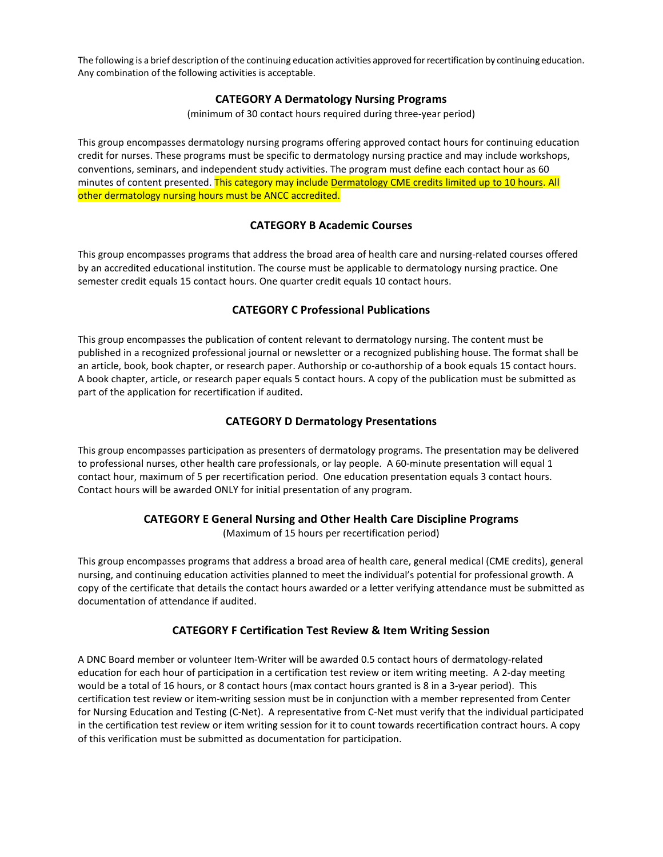The following is a brief description of the continuing education activities approved for recertification by continuing education. Any combination of the following activities is acceptable.

#### **CATEGORY A Dermatology Nursing Programs**

(minimum of 30 contact hours required during three-year period)

This group encompasses dermatology nursing programs offering approved contact hours for continuing education credit for nurses. These programs must be specific to dermatology nursing practice and may include workshops, conventions, seminars, and independent study activities. The program must define each contact hour as 60 minutes of content presented. This category may include Dermatology CME credits limited up to 10 hours. All other dermatology nursing hours must be ANCC accredited.

## **CATEGORY B Academic Courses**

This group encompasses programs that address the broad area of health care and nursing-related courses offered by an accredited educational institution. The course must be applicable to dermatology nursing practice. One semester credit equals 15 contact hours. One quarter credit equals 10 contact hours.

### **CATEGORY C Professional Publications**

This group encompasses the publication of content relevant to dermatology nursing. The content must be published in a recognized professional journal or newsletter or a recognized publishing house. The format shall be an article, book, book chapter, or research paper. Authorship or co-authorship of a book equals 15 contact hours. A book chapter, article, or research paper equals 5 contact hours. A copy of the publication must be submitted as part of the application for recertification if audited.

#### **CATEGORY D Dermatology Presentations**

This group encompasses participation as presenters of dermatology programs. The presentation may be delivered to professional nurses, other health care professionals, or lay people. A 60-minute presentation will equal 1 contact hour, maximum of 5 per recertification period. One education presentation equals 3 contact hours. Contact hours will be awarded ONLY for initial presentation of any program.

#### **CATEGORY E General Nursing and Other Health Care Discipline Programs**

(Maximum of 15 hours per recertification period)

This group encompasses programs that address a broad area of health care, general medical (CME credits), general nursing, and continuing education activities planned to meet the individual's potential for professional growth. A copy of the certificate that details the contact hours awarded or a letter verifying attendance must be submitted as documentation of attendance if audited.

#### **CATEGORY F Certification Test Review & Item Writing Session**

A DNC Board member or volunteer Item-Writer will be awarded 0.5 contact hours of dermatology-related education for each hour of participation in a certification test review or item writing meeting. A 2-day meeting would be a total of 16 hours, or 8 contact hours (max contact hours granted is 8 in a 3-year period). This certification test review or item-writing session must be in conjunction with a member represented from Center for Nursing Education and Testing (C-Net). A representative from C-Net must verify that the individual participated in the certification test review or item writing session for it to count towards recertification contract hours. A copy of this verification must be submitted as documentation for participation.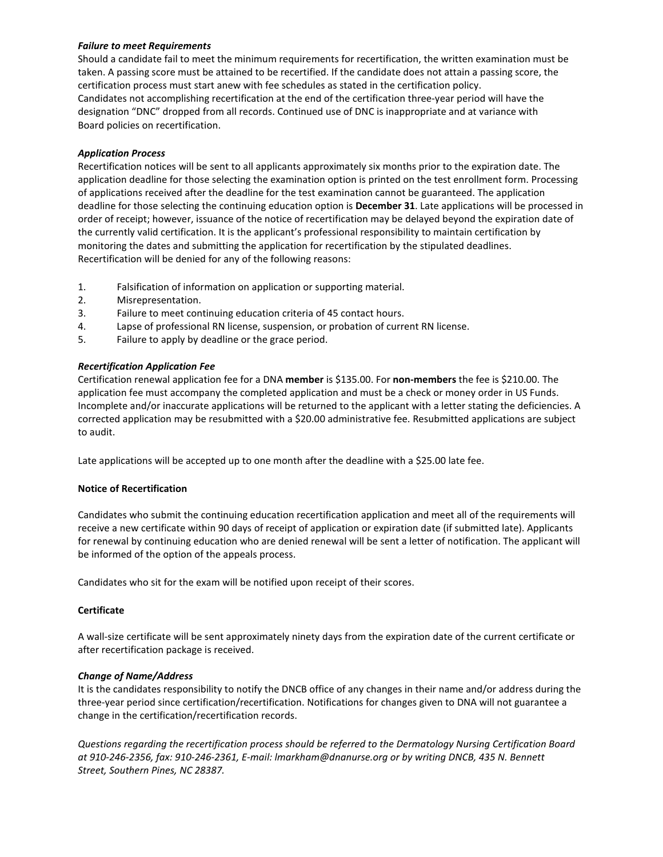#### *Failure to meet Requirements*

Should a candidate fail to meet the minimum requirements for recertification, the written examination must be taken. A passing score must be attained to be recertified. If the candidate does not attain a passing score, the certification process must start anew with fee schedules as stated in the certification policy. Candidates not accomplishing recertification at the end of the certification three-year period will have the designation "DNC" dropped from all records. Continued use of DNC is inappropriate and at variance with Board policies on recertification.

#### *Application Process*

Recertification notices will be sent to all applicants approximately six months prior to the expiration date. The application deadline for those selecting the examination option is printed on the test enrollment form. Processing of applications received after the deadline for the test examination cannot be guaranteed. The application deadline for those selecting the continuing education option is **December 31**. Late applications will be processed in order of receipt; however, issuance of the notice of recertification may be delayed beyond the expiration date of the currently valid certification. It is the applicant's professional responsibility to maintain certification by monitoring the dates and submitting the application for recertification by the stipulated deadlines. Recertification will be denied for any of the following reasons:

- 1. Falsification of information on application or supporting material.
- 2. Misrepresentation.
- 3. Failure to meet continuing education criteria of 45 contact hours.
- 4. Lapse of professional RN license, suspension, or probation of current RN license.
- 5. Failure to apply by deadline or the grace period.

#### *Recertification Application Fee*

Certification renewal application fee for a DNA **member** is \$135.00. For **non-members** the fee is \$210.00. The application fee must accompany the completed application and must be a check or money order in US Funds. Incomplete and/or inaccurate applications will be returned to the applicant with a letter stating the deficiencies. A corrected application may be resubmitted with a \$20.00 administrative fee. Resubmitted applications are subject to audit.

Late applications will be accepted up to one month after the deadline with a \$25.00 late fee.

#### **Notice of Recertification**

Candidates who submit the continuing education recertification application and meet all of the requirements will receive a new certificate within 90 days of receipt of application or expiration date (if submitted late). Applicants for renewal by continuing education who are denied renewal will be sent a letter of notification. The applicant will be informed of the option of the appeals process.

Candidates who sit for the exam will be notified upon receipt of their scores.

#### **Certificate**

A wall-size certificate will be sent approximately ninety days from the expiration date of the current certificate or after recertification package is received.

#### *Change of Name/Address*

It is the candidates responsibility to notify the DNCB office of any changes in their name and/or address during the three-year period since certification/recertification. Notifications for changes given to DNA will not guarantee a change in the certification/recertification records.

*Questions regarding the recertification process should be referred to the Dermatology Nursing Certification Board at 910-246-2356, fax: 910-246-2361, E-mail: lmarkham@dnanurse.org or by writing DNCB, 435 N. Bennett Street, Southern Pines, NC 28387.*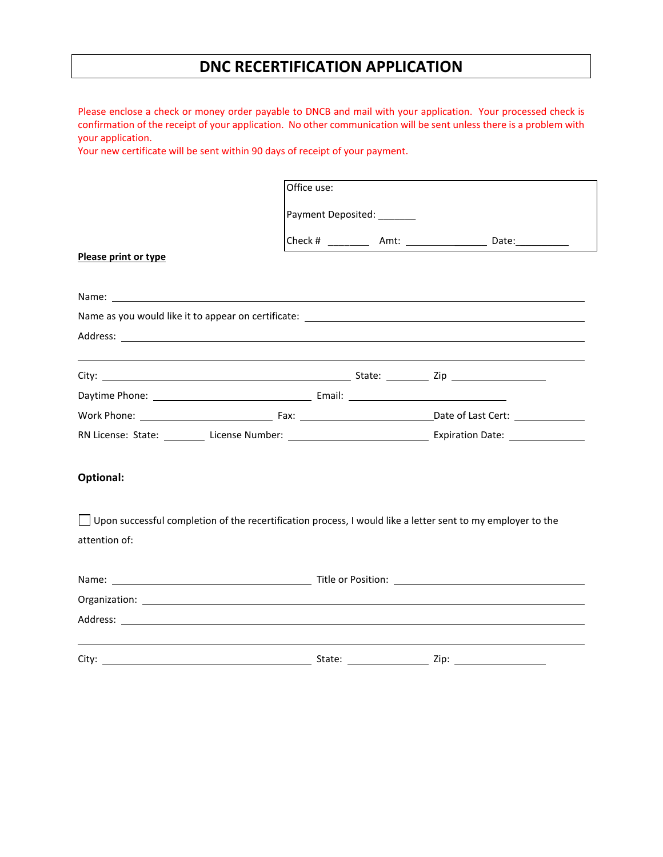# **DNC RECERTIFICATION APPLICATION**

Please enclose a check or money order payable to DNCB and mail with your application. Your processed check is confirmation of the receipt of your application. No other communication will be sent unless there is a problem with your application.

Your new certificate will be sent within 90 days of receipt of your payment.

| Office use:          |                                                                                                             |  |                                                                                                                                                                                                                                     |  |  |  |
|----------------------|-------------------------------------------------------------------------------------------------------------|--|-------------------------------------------------------------------------------------------------------------------------------------------------------------------------------------------------------------------------------------|--|--|--|
|                      | Payment Deposited: ______                                                                                   |  |                                                                                                                                                                                                                                     |  |  |  |
|                      |                                                                                                             |  | Check # ____________ Amt: ______________________ Date:___________                                                                                                                                                                   |  |  |  |
| Please print or type |                                                                                                             |  |                                                                                                                                                                                                                                     |  |  |  |
|                      |                                                                                                             |  |                                                                                                                                                                                                                                     |  |  |  |
|                      |                                                                                                             |  |                                                                                                                                                                                                                                     |  |  |  |
|                      |                                                                                                             |  | Address: example, and a series of the series of the series of the series of the series of the series of the series of the series of the series of the series of the series of the series of the series of the series of the se      |  |  |  |
|                      |                                                                                                             |  |                                                                                                                                                                                                                                     |  |  |  |
|                      |                                                                                                             |  |                                                                                                                                                                                                                                     |  |  |  |
|                      |                                                                                                             |  |                                                                                                                                                                                                                                     |  |  |  |
|                      |                                                                                                             |  |                                                                                                                                                                                                                                     |  |  |  |
|                      |                                                                                                             |  | RN License: State: License Number: License Number: License Mumber: 2014                                                                                                                                                             |  |  |  |
| <b>Optional:</b>     |                                                                                                             |  |                                                                                                                                                                                                                                     |  |  |  |
|                      | Upon successful completion of the recertification process, I would like a letter sent to my employer to the |  |                                                                                                                                                                                                                                     |  |  |  |
| attention of:        |                                                                                                             |  |                                                                                                                                                                                                                                     |  |  |  |
|                      |                                                                                                             |  |                                                                                                                                                                                                                                     |  |  |  |
|                      |                                                                                                             |  |                                                                                                                                                                                                                                     |  |  |  |
|                      |                                                                                                             |  | Address: <u>Address:</u> Address: Address: Address: Address: Address: Address: Address: Address: Address: Address: Address: Address: Address: Address: Address: Address: Address: Address: Address: Address: Address: Address: Addr |  |  |  |
|                      |                                                                                                             |  |                                                                                                                                                                                                                                     |  |  |  |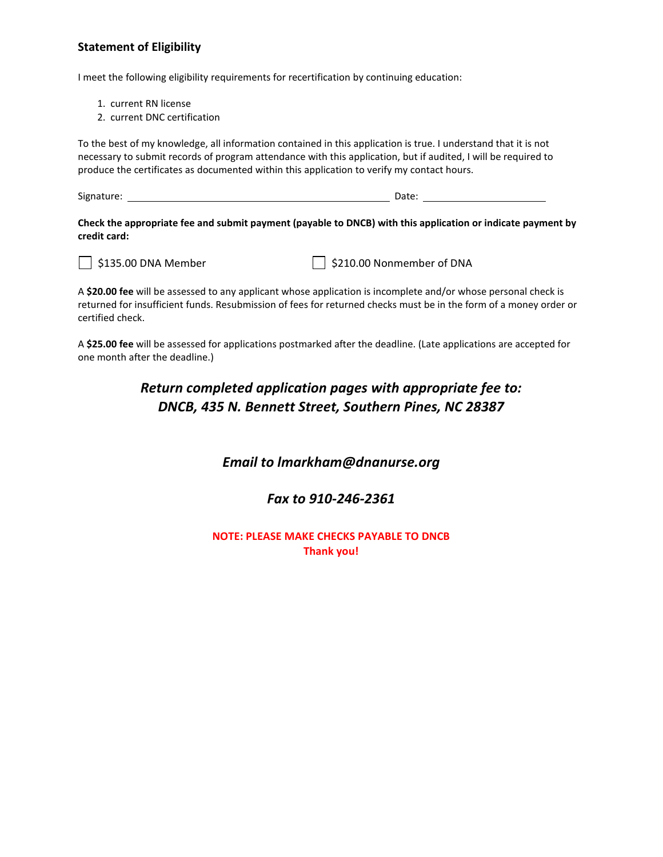## **Statement of Eligibility**

I meet the following eligibility requirements for recertification by continuing education:

- 1. current RN license
- 2. current DNC certification

To the best of my knowledge, all information contained in this application is true. I understand that it is not necessary to submit records of program attendance with this application, but if audited, I will be required to produce the certificates as documented within this application to verify my contact hours.

Signature: Date:

**Check the appropriate fee and submit payment (payable to DNCB) with this application or indicate payment by credit card:**



 $\Box$  \$135.00 DNA Member  $\Box$  \$210.00 Nonmember of DNA

A **\$20.00 fee** will be assessed to any applicant whose application is incomplete and/or whose personal check is returned for insufficient funds. Resubmission of fees for returned checks must be in the form of a money order or certified check.

A **\$25.00 fee** will be assessed for applications postmarked after the deadline. (Late applications are accepted for one month after the deadline.)

# *Return completed application pages with appropriate fee to: DNCB, 435 N. Bennett Street, Southern Pines, NC 28387*

## *Email to lmarkham@dnanurse.org*

## *Fax to 910-246-2361*

**NOTE: PLEASE MAKE CHECKS PAYABLE TO DNCB Thank you!**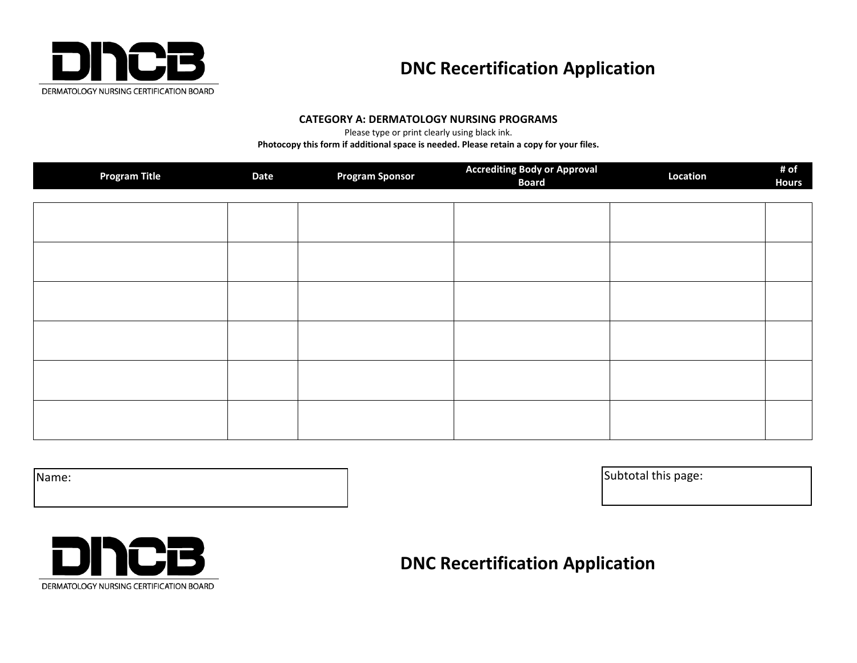

# **DNC Recertification Application**

#### **CATEGORY A: DERMATOLOGY NURSING PROGRAMS**

Please type or print clearly using black ink.

**Photocopy this form if additional space is needed. Please retain a copy for your files.**

| <b>Program Title</b> | <b>Date</b> | <b>Program Sponsor</b> | <b>Accrediting Body or Approval</b><br><b>Board</b> | Location | # of<br><b>Hours</b> |
|----------------------|-------------|------------------------|-----------------------------------------------------|----------|----------------------|
|                      |             |                        |                                                     |          |                      |
|                      |             |                        |                                                     |          |                      |
|                      |             |                        |                                                     |          |                      |
|                      |             |                        |                                                     |          |                      |
|                      |             |                        |                                                     |          |                      |
|                      |             |                        |                                                     |          |                      |

Name: Subtotal this page:



# **DNC Recertification Application**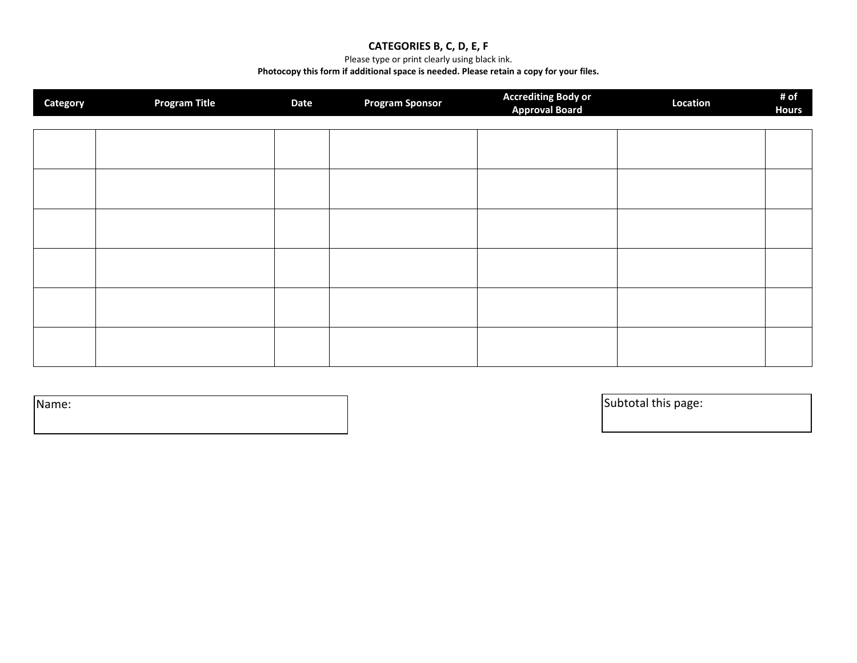## **CATEGORIES B, C, D, E, F**

Please type or print clearly using black ink.

#### **Photocopy this form if additional space is needed. Please retain a copy for your files.**

| Category | <b>Program Title</b> | <b>Date</b> | <b>Program Sponsor</b> | <b>Accrediting Body or</b><br><b>Approval Board</b> | Location | # of<br><b>Hours</b> |
|----------|----------------------|-------------|------------------------|-----------------------------------------------------|----------|----------------------|
|          |                      |             |                        |                                                     |          |                      |
|          |                      |             |                        |                                                     |          |                      |
|          |                      |             |                        |                                                     |          |                      |
|          |                      |             |                        |                                                     |          |                      |
|          |                      |             |                        |                                                     |          |                      |
|          |                      |             |                        |                                                     |          |                      |
|          |                      |             |                        |                                                     |          |                      |

Name: Subtotal this page: